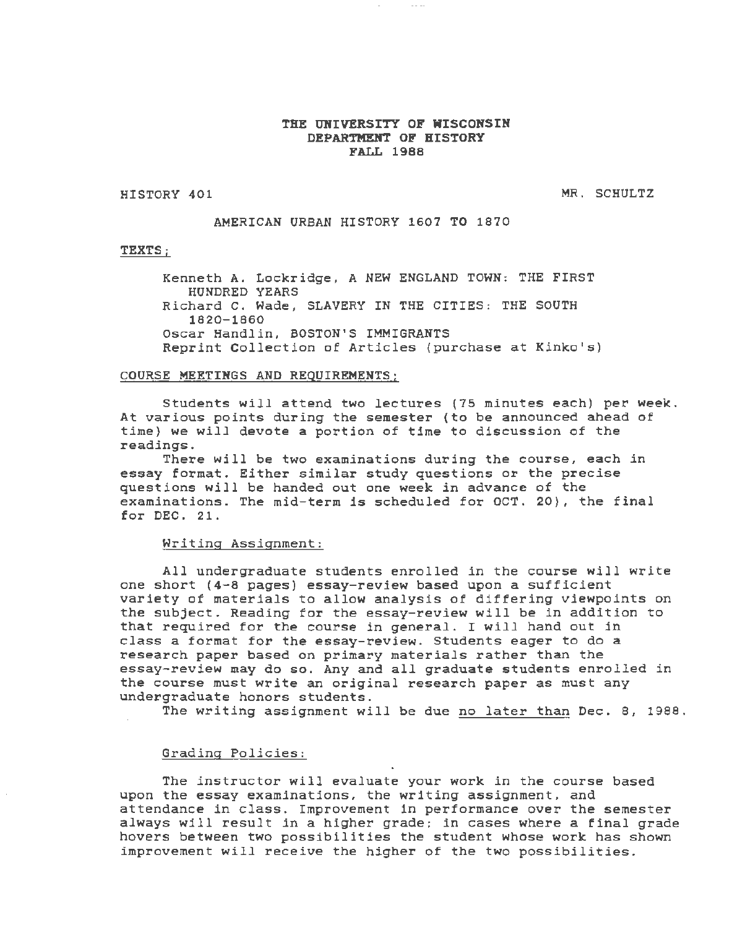#### THE UNIVERSITY OF WISCONSIN DEPARTMENT OF HISTORY FALL 1988

HISTORY 401

MR. SCHULTZ

AMERICAN URBAN HISTORY 1607 TO 1870

#### TEXTS;

Kenneth A. Lockridge, A NEW ENGLAND TOWN: THE FIRST HUNDRED YEARS Richard C. Wade, SLAVERY IN THE CITIES: THE SOUTH 1820-1860 Oscar Handlin, BOSTON'S IMMIGRANTS Reprint Collection of Articles (purchase at Kinko's)

#### COURSE MEETINGS AND REQUIREMENTS;

Students will attend two lectures (75 minutes each) per week. At various points during the semester (to be announced ahead of time) we will devote a portion of time to discussion of the readings.

There will be two examinations during the course, each *in*  essay format. Either similar study questions or the precise questions will be handed out one week *in* advance of the examinations. The mid-term *is* scheduled for OCT. 20), the final for DEC. 21.

#### Writing Assignment:

All undergraduate students enrolled in the course will write one short (4-8 pages) essay-review based upon a sufficient variety of materials to allow analysis of differing viewpoints on the subject. Reading for the essay-review will be *in* addition to that required for the course *in* general. I will hand out *in*  class a format for the essay-review. Students eager to do a research paper based on primary materials rather than the essay-review may do so. Any and all graduate students enrolled *in*  the course must write an original research paper as must any undergraduate honors students.

The writing assignment will be due no later than Dec. 8, 1988.

### Grading Policies:

The instructor will evaluate your work *in* the course based upon the essay examinations, the writing assignment, and attendance *in* class. Improvement *in* performance over the semester always will result *in* a higher grade; *in* cases where a final grade hovers between two possibilities the student whose work has shown improvement will receive the higher of the two possibilities. ·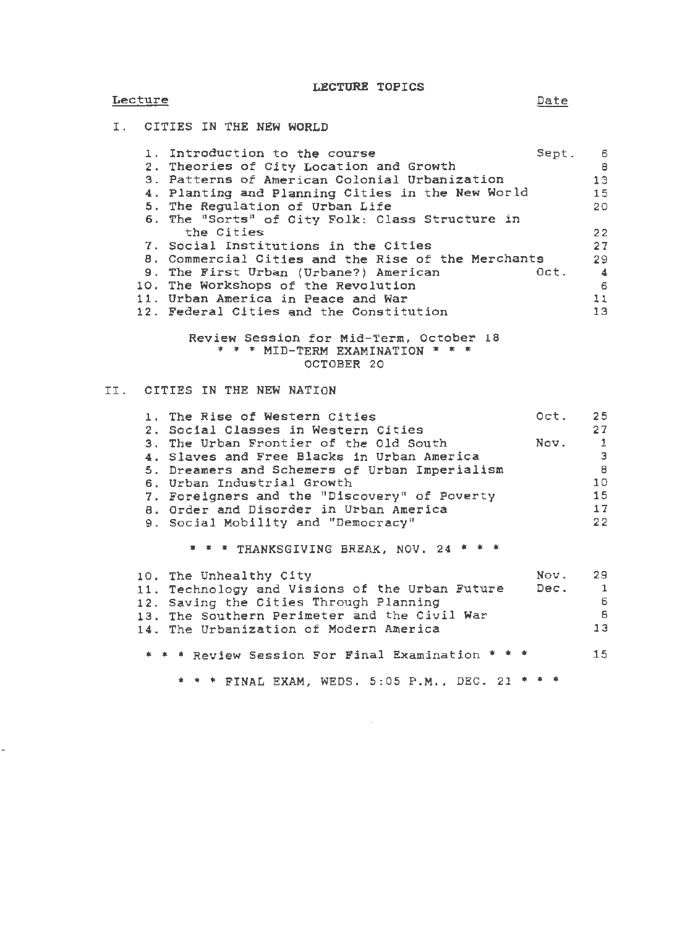LECTURE TOPICS

## **Lecture**

 $\ddot{\phantom{0}}$ 

## I. CITIES IN THE NEW WORLD

| 1. Introduction to the course                      | Sept. | - 6                  |
|----------------------------------------------------|-------|----------------------|
| 2. Theories of City Location and Growth            |       | 8                    |
| 3. Patterns of American Colonial Urbanization      |       | 13                   |
| 4. Planting and Planning Cities in the New World   |       | 15                   |
| 5. The Regulation of Urban Life                    |       | 20                   |
| 6. The "Sorts" of City Folk: Class Structure in    |       |                      |
| the Cities                                         |       | 22                   |
| 7. Social Institutions in the Cities               |       | 27                   |
| 8. Commercial Cities and the Rise of the Merchants |       | 29                   |
| 9. The First Urban (Urbane?) American              | Oct.  | $\blacktriangleleft$ |
| 10. The Workshops of the Revolution                |       | 6                    |
| 11. Urban America in Peace and War                 |       | 11                   |
| 12. Federal Cities and the Constitution            |       | 13                   |
|                                                    |       |                      |

Review Session for Mid-Term, October 18 \* \* \* MID-TERM EXAMINATION \* \* \* OCTOBER 20

## II. CITIES IN THE NEW NATION

| 1. The Rise of Western Cities<br>2. Social Classes in Western Cities | Oct.    | 25<br>27       |
|----------------------------------------------------------------------|---------|----------------|
| 3. The Urban Frontier of the Old South                               | Nov.    | $\overline{1}$ |
| 4. Slaves and Free Blacks in Urban America                           |         | Э              |
| 5. Dreamers and Schemers of Urban Imperialism                        |         | 8              |
| 6. Urban Industrial Growth                                           |         | 10             |
| 7. Foreigners and the "Discovery" of Poverty                         |         | 15             |
| 8. Order and Disorder in Urban America                               |         | 17             |
| 9. Social Mobility and "Democracy"                                   |         | 22             |
| * * * THANKSGIVING BREAK, NOV. 24 * * *                              |         |                |
| 10. The Unhealthy City                                               | Nov. 29 |                |
| 11. Technology and Visions of the Urban Future                       | Dec. 1  |                |
| 12. Saving the Cities Through Planning                               |         | 6              |
| 13. The Southern Perimeter and the Civil War                         |         | -8             |
| 14. The Urbanization of Modern America                               |         | 13             |
| * * * Review Session For Final Examination * *                       |         | 15             |

\* \* \* FINAL EXAM, WEDS. 5:05 P.M., DEC. 21 \* \* \*

Date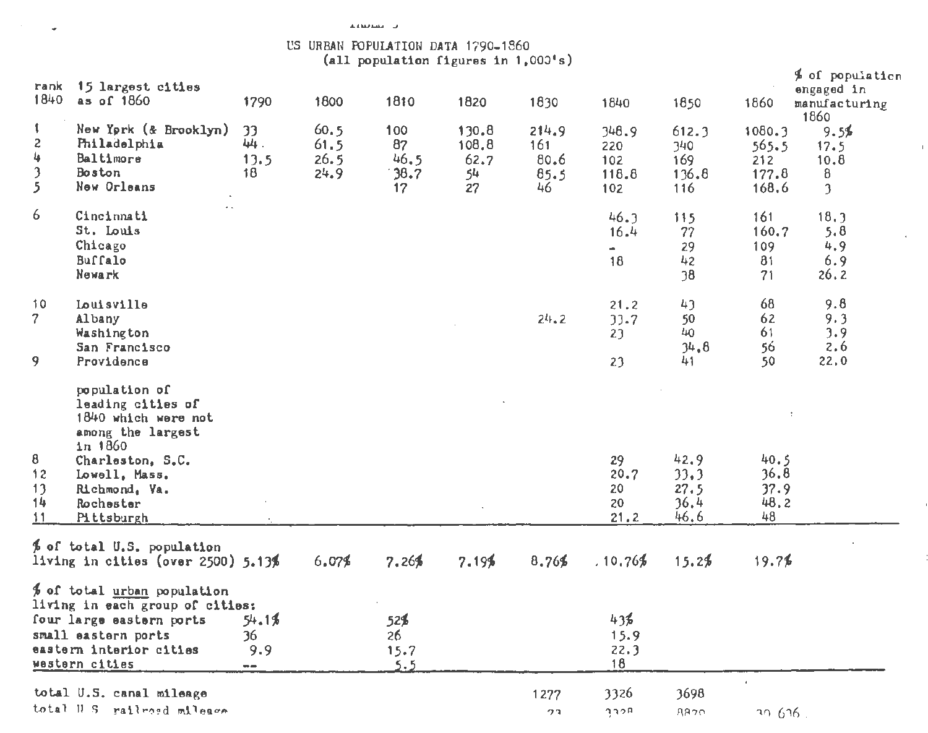$\omega$ 

# US URBAN POPULATION DATA 1790-1860<br>(all population figures in  $1,0001s$ )

| rank<br>1840                           | 15 largest cities<br>as of 1860                                                                                                                                              | 1790                       | 1800                         | 1810                            | 1820                               | 1830                                | 1840                                | 1850                                 | 1860                                     | \$ of population<br>engaged in<br>manufacturing      |
|----------------------------------------|------------------------------------------------------------------------------------------------------------------------------------------------------------------------------|----------------------------|------------------------------|---------------------------------|------------------------------------|-------------------------------------|-------------------------------------|--------------------------------------|------------------------------------------|------------------------------------------------------|
| $\mathbf{I}$<br>2<br>4<br>3<br>5       | New York (& Brooklyn)<br>Philadelphia<br>Baltimore<br>Boston<br>New Orleans                                                                                                  | 33<br>44.<br>13.5<br>18    | 60.5<br>61.5<br>26.5<br>24.9 | 100<br>87<br>46.5<br>38.7<br>17 | 130.8<br>108.8<br>62.7<br>54<br>27 | 214.9<br>161<br>80.6<br>85.5<br>46. | 348.9<br>220<br>102<br>118.8<br>102 | 612.3<br>340<br>169<br>136.8<br>116  | 1080.3<br>565.5<br>212<br>177.8<br>168.6 | 1860<br>9.5\$<br>17.5<br>10.8<br>8<br>$\mathfrak{I}$ |
| 6.                                     | Cincinnati<br>St. Louis<br>Chicago<br>Buffalo<br>Newark                                                                                                                      |                            |                              |                                 |                                    |                                     | 46.3<br>16.4<br>÷.<br>18            | 115<br>77<br>29<br>42<br>38          | 161<br>160.7<br>109<br>81<br>71          | 18.3<br>5.8<br>4.9<br>6.9<br>26.2                    |
| 10<br>$\mathcal{L}$<br>9               | Louisville<br>Albany<br>Washington<br>San Francisco<br>Providence                                                                                                            |                            |                              |                                 |                                    | 24.2                                | 21.2<br>33.7<br>23<br>23            | 43<br>50<br>40<br>34.8<br>41         | 68<br>62<br>61<br>56<br>50               | 9.8<br>9.3<br>3.9<br>2.6<br>22.0                     |
| 8<br>12<br>13<br>14 <sub>1</sub><br>11 | population of<br>leading cities of<br>1840 which were not<br>among the largest<br>$1n$ 1860<br>Charleston, S.C.<br>Lowell, Mass.<br>Richmond, Va.<br>Rochester<br>Pittsburgh |                            |                              |                                 |                                    |                                     | 29<br>20.7<br>20<br>20<br>21.2      | 42.9<br>33.3<br>27.5<br>36.4<br>46.6 | 40.5<br>36.8<br>37.9<br>48.2<br>48       |                                                      |
|                                        | % of total U.S. population<br>living in cities (over $2500$ ) $5.13%$                                                                                                        |                            | 6.07%                        | 7.26%                           | 7.19%                              | 8.76%                               | .10.76%                             | 15.2%                                | 19.7%                                    |                                                      |
|                                        | % of total urban population<br>living in each group of cities:<br>four large eastern ports<br>small eastern ports<br>eastern interior cities<br>western cities               | 54.1%<br>36<br>9.9<br>$-1$ |                              | 52\$<br>26.<br>15.7<br>5.5      |                                    |                                     | 43%<br>15.9<br>22.3<br>18           |                                      |                                          |                                                      |
|                                        | total U.S. canal mileage<br>total H S railroad mileace                                                                                                                       |                            |                              |                                 |                                    | 1277<br>クコ                          | 3326<br>gaba                        | 3698<br><b>AR20</b>                  | $\blacksquare$<br>30.616                 |                                                      |

 $\mathbf{1}$ 

 $\bar{1}$ 

J.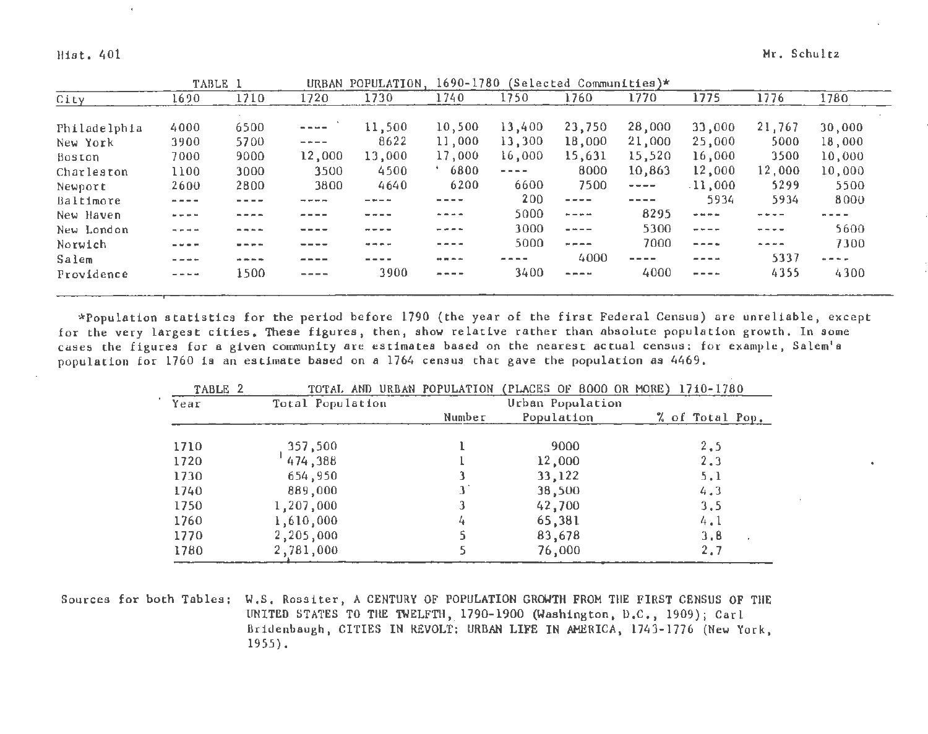Hist. 401 Mr. Schultz

|              |                                                                                                                                                   | TABLE 1 | URBAN                                                                                                                                                                                                                                                                                                                                                                                        | POPULATION, | 1690-1780                                                                                                                                                                                                                                                                                                                                                                                    |                                                                                                                                                                                                                                                                                                                                                                                              | (Selected Communities)*                                                                                                                                                                                                                                                                                                                                                                      |             |                                                                                                                                                                                                                                                                                                                                                                                              |           |            |
|--------------|---------------------------------------------------------------------------------------------------------------------------------------------------|---------|----------------------------------------------------------------------------------------------------------------------------------------------------------------------------------------------------------------------------------------------------------------------------------------------------------------------------------------------------------------------------------------------|-------------|----------------------------------------------------------------------------------------------------------------------------------------------------------------------------------------------------------------------------------------------------------------------------------------------------------------------------------------------------------------------------------------------|----------------------------------------------------------------------------------------------------------------------------------------------------------------------------------------------------------------------------------------------------------------------------------------------------------------------------------------------------------------------------------------------|----------------------------------------------------------------------------------------------------------------------------------------------------------------------------------------------------------------------------------------------------------------------------------------------------------------------------------------------------------------------------------------------|-------------|----------------------------------------------------------------------------------------------------------------------------------------------------------------------------------------------------------------------------------------------------------------------------------------------------------------------------------------------------------------------------------------------|-----------|------------|
| City         | 1690                                                                                                                                              | 1710    | 1720                                                                                                                                                                                                                                                                                                                                                                                         | 1730        | 1740                                                                                                                                                                                                                                                                                                                                                                                         | 1750                                                                                                                                                                                                                                                                                                                                                                                         | 1760                                                                                                                                                                                                                                                                                                                                                                                         | 1770        | 1775                                                                                                                                                                                                                                                                                                                                                                                         | 1776      | 1780       |
|              |                                                                                                                                                   |         |                                                                                                                                                                                                                                                                                                                                                                                              |             |                                                                                                                                                                                                                                                                                                                                                                                              |                                                                                                                                                                                                                                                                                                                                                                                              |                                                                                                                                                                                                                                                                                                                                                                                              |             |                                                                                                                                                                                                                                                                                                                                                                                              |           |            |
| Philadelphia | 4000                                                                                                                                              | 6500    | $\frac{1}{2} \frac{1}{2} \frac{1}{2} \frac{1}{2} \frac{1}{2} \frac{1}{2} \frac{1}{2} \frac{1}{2} \frac{1}{2} \frac{1}{2} \frac{1}{2} \frac{1}{2} \frac{1}{2} \frac{1}{2} \frac{1}{2} \frac{1}{2} \frac{1}{2} \frac{1}{2} \frac{1}{2} \frac{1}{2} \frac{1}{2} \frac{1}{2} \frac{1}{2} \frac{1}{2} \frac{1}{2} \frac{1}{2} \frac{1}{2} \frac{1}{2} \frac{1}{2} \frac{1}{2} \frac{1}{2} \frac{$ | 11,500      | 10,500                                                                                                                                                                                                                                                                                                                                                                                       | 13,400                                                                                                                                                                                                                                                                                                                                                                                       | 23,750                                                                                                                                                                                                                                                                                                                                                                                       | 28,000      | 33,000                                                                                                                                                                                                                                                                                                                                                                                       | 21,767    | 30,000     |
| New York     | 3900                                                                                                                                              | 5700    | $- + - -$                                                                                                                                                                                                                                                                                                                                                                                    | 8622        | 11,000                                                                                                                                                                                                                                                                                                                                                                                       | 13,300                                                                                                                                                                                                                                                                                                                                                                                       | 18,000                                                                                                                                                                                                                                                                                                                                                                                       | 21,000      | 25,000                                                                                                                                                                                                                                                                                                                                                                                       | 5000      | 18,000     |
| Boston       | 7000                                                                                                                                              | 9000    | 12,000                                                                                                                                                                                                                                                                                                                                                                                       | 13,000      | 17,000                                                                                                                                                                                                                                                                                                                                                                                       | 16,000                                                                                                                                                                                                                                                                                                                                                                                       | 15,631                                                                                                                                                                                                                                                                                                                                                                                       | 15,520      | 16,000                                                                                                                                                                                                                                                                                                                                                                                       | 3500      | 10,000     |
| Charleston   | 1100                                                                                                                                              | 3000    | 3500                                                                                                                                                                                                                                                                                                                                                                                         | 4500        | 6800                                                                                                                                                                                                                                                                                                                                                                                         | $\frac{1}{2} \frac{1}{2} \frac{1}{2} \frac{1}{2} \frac{1}{2} \frac{1}{2} \frac{1}{2} \frac{1}{2} \frac{1}{2} \frac{1}{2} \frac{1}{2} \frac{1}{2} \frac{1}{2} \frac{1}{2} \frac{1}{2} \frac{1}{2} \frac{1}{2} \frac{1}{2} \frac{1}{2} \frac{1}{2} \frac{1}{2} \frac{1}{2} \frac{1}{2} \frac{1}{2} \frac{1}{2} \frac{1}{2} \frac{1}{2} \frac{1}{2} \frac{1}{2} \frac{1}{2} \frac{1}{2} \frac{$ | 8000                                                                                                                                                                                                                                                                                                                                                                                         | 10,863      | 12,000                                                                                                                                                                                                                                                                                                                                                                                       | 12,000    | 10,000     |
| Newport      | 2600                                                                                                                                              | 2800    | 3800                                                                                                                                                                                                                                                                                                                                                                                         | 4640        | 6200                                                                                                                                                                                                                                                                                                                                                                                         | 6600                                                                                                                                                                                                                                                                                                                                                                                         | 7500                                                                                                                                                                                                                                                                                                                                                                                         | $- - - - -$ | .11,000                                                                                                                                                                                                                                                                                                                                                                                      | 5299      | 5500       |
| Baltimore    | ----                                                                                                                                              |         |                                                                                                                                                                                                                                                                                                                                                                                              |             | ----                                                                                                                                                                                                                                                                                                                                                                                         | 200                                                                                                                                                                                                                                                                                                                                                                                          | $- - - - -$                                                                                                                                                                                                                                                                                                                                                                                  | ----        | 5934                                                                                                                                                                                                                                                                                                                                                                                         | 5934      | 8000       |
| New Haven    | ----                                                                                                                                              |         |                                                                                                                                                                                                                                                                                                                                                                                              |             | $\cdots$                                                                                                                                                                                                                                                                                                                                                                                     | 5000                                                                                                                                                                                                                                                                                                                                                                                         | $\frac{1}{2} \frac{1}{2} \frac{1}{2} \frac{1}{2} \frac{1}{2} \frac{1}{2} \frac{1}{2} \frac{1}{2} \frac{1}{2} \frac{1}{2} \frac{1}{2} \frac{1}{2} \frac{1}{2} \frac{1}{2} \frac{1}{2} \frac{1}{2} \frac{1}{2} \frac{1}{2} \frac{1}{2} \frac{1}{2} \frac{1}{2} \frac{1}{2} \frac{1}{2} \frac{1}{2} \frac{1}{2} \frac{1}{2} \frac{1}{2} \frac{1}{2} \frac{1}{2} \frac{1}{2} \frac{1}{2} \frac{$ | 8295        | $\omega$ as $\omega$ in                                                                                                                                                                                                                                                                                                                                                                      | - - - -   | .          |
| New London   | $- - - -$                                                                                                                                         |         |                                                                                                                                                                                                                                                                                                                                                                                              | ----        | ----                                                                                                                                                                                                                                                                                                                                                                                         | 3000                                                                                                                                                                                                                                                                                                                                                                                         | $= - -$                                                                                                                                                                                                                                                                                                                                                                                      | 5300        | $- - - -$                                                                                                                                                                                                                                                                                                                                                                                    | $- - - -$ | 5600       |
| Norwich      | ----                                                                                                                                              |         |                                                                                                                                                                                                                                                                                                                                                                                              | .           | ----                                                                                                                                                                                                                                                                                                                                                                                         | 5000                                                                                                                                                                                                                                                                                                                                                                                         | $\mathbf{w} = \mathbf{w} + \mathbf{w}$                                                                                                                                                                                                                                                                                                                                                       | 7000        | $- - - -$                                                                                                                                                                                                                                                                                                                                                                                    | ----      | 7300       |
| Salem        | $- - + -$                                                                                                                                         |         |                                                                                                                                                                                                                                                                                                                                                                                              |             | $\begin{array}{ccccccccccccccccc} \bullet\bullet & \bullet\bullet & \bullet\bullet & \bullet\bullet & \bullet\bullet & \bullet\bullet \end{array}$                                                                                                                                                                                                                                           |                                                                                                                                                                                                                                                                                                                                                                                              | 4000                                                                                                                                                                                                                                                                                                                                                                                         |             | $\frac{1}{2} \frac{1}{2} \frac{1}{2} \frac{1}{2} \frac{1}{2} \frac{1}{2} \frac{1}{2} \frac{1}{2} \frac{1}{2} \frac{1}{2} \frac{1}{2} \frac{1}{2} \frac{1}{2} \frac{1}{2} \frac{1}{2} \frac{1}{2} \frac{1}{2} \frac{1}{2} \frac{1}{2} \frac{1}{2} \frac{1}{2} \frac{1}{2} \frac{1}{2} \frac{1}{2} \frac{1}{2} \frac{1}{2} \frac{1}{2} \frac{1}{2} \frac{1}{2} \frac{1}{2} \frac{1}{2} \frac{$ | 5337      | $\sim - -$ |
| Providence   | $\frac{1}{2} \frac{1}{2} \frac{1}{2} \frac{1}{2} \frac{1}{2} \frac{1}{2} \frac{1}{2} \frac{1}{2} \frac{1}{2} \frac{1}{2} \frac{1}{2} \frac{1}{2}$ | 1500    | ----                                                                                                                                                                                                                                                                                                                                                                                         | 3900        | $\frac{1}{2} \frac{1}{2} \frac{1}{2} \frac{1}{2} \frac{1}{2} \frac{1}{2} \frac{1}{2} \frac{1}{2} \frac{1}{2} \frac{1}{2} \frac{1}{2} \frac{1}{2} \frac{1}{2} \frac{1}{2} \frac{1}{2} \frac{1}{2} \frac{1}{2} \frac{1}{2} \frac{1}{2} \frac{1}{2} \frac{1}{2} \frac{1}{2} \frac{1}{2} \frac{1}{2} \frac{1}{2} \frac{1}{2} \frac{1}{2} \frac{1}{2} \frac{1}{2} \frac{1}{2} \frac{1}{2} \frac{$ | 3400                                                                                                                                                                                                                                                                                                                                                                                         | $\frac{1}{2}$                                                                                                                                                                                                                                                                                                                                                                                | 4000        | $\frac{1}{2}$                                                                                                                                                                                                                                                                                                                                                                                | 4355      | 4300       |
|              |                                                                                                                                                   |         |                                                                                                                                                                                                                                                                                                                                                                                              |             |                                                                                                                                                                                                                                                                                                                                                                                              |                                                                                                                                                                                                                                                                                                                                                                                              |                                                                                                                                                                                                                                                                                                                                                                                              |             |                                                                                                                                                                                                                                                                                                                                                                                              |           |            |

\*Population statistics for the period before 1790 (the year of the first Federal Census) are unreliable, except for the very largest cities. These figures, then, show relative rather than absolute population growth. In some cases the figures for a given community are estimates based on the nearest actual census: for example, Salem's population for 1760 is an estimate based on a 1764 census that gave the population as 4469.

| TABLE 2 |                  |        | TOTAL AND URBAN POPULATION (PLACES OF 8000 OR MORE) 1710-1780 |                 |
|---------|------------------|--------|---------------------------------------------------------------|-----------------|
| Year    | Total Population |        | Urban Population                                              |                 |
|         |                  | Number | Population                                                    | % of Total Pop. |
| 1710    | 357,500          |        | 9000                                                          | 2.5             |
| 1720    | 474,388          |        | 12,000                                                        | 2,3             |
| 1730    | 654,950          |        | 33,122                                                        | 5.1             |
| 1740    | 889,000          |        | 38,500                                                        | 4.3             |
| 1750    | 1,207,000        |        | 42,700                                                        | 3.5             |
| 1760    | 1,610,000        | 4      | 65,381                                                        | 4.1             |
| 1770    | 2,205,000        |        | 83,678                                                        | 3.8             |
| 1780    | 2,781,000        |        | 76,000                                                        | 2,7             |

Sources for both Tables: W.S. Rossiter, A CENTURY OF POPULATION GROWTH FROM THE FIRST CENSUS OF THE UNITED STATES TO THE TWELFTH, 1790-1900 (Washington, D.C., 1909); Carl Bridenbaugh, CITIES IN REVOLT: URBAN LIFE IN AMERICA, 1743-1776 (New York, 1955).